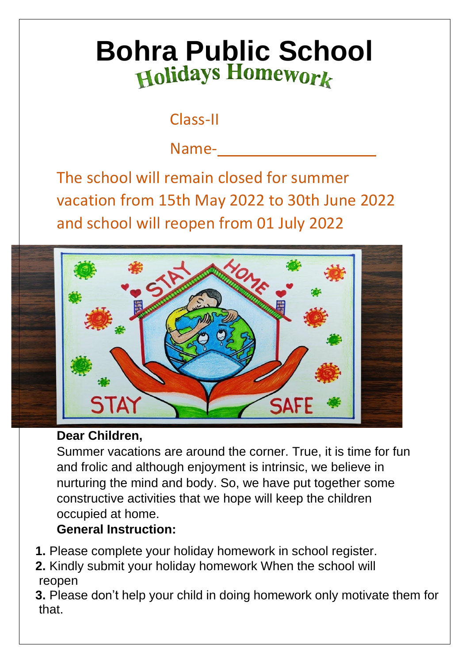# **Bohra Public School**

# Class-II

Name-

The school will remain closed for summer vacation from 15th May 2022 to 30th June 2022 and school will reopen from 01 July 2022



# **Dear Children,**

Summer vacations are around the corner. True, it is time for fun and frolic and although enjoyment is intrinsic, we believe in nurturing the mind and body. So, we have put together some constructive activities that we hope will keep the children occupied at home.

# **General Instruction:**

- **1.** Please complete your holiday homework in school register.
- **2.** Kindly submit your holiday homework When the school will reopen

**3.** Please don't help your child in doing homework only motivate them for that.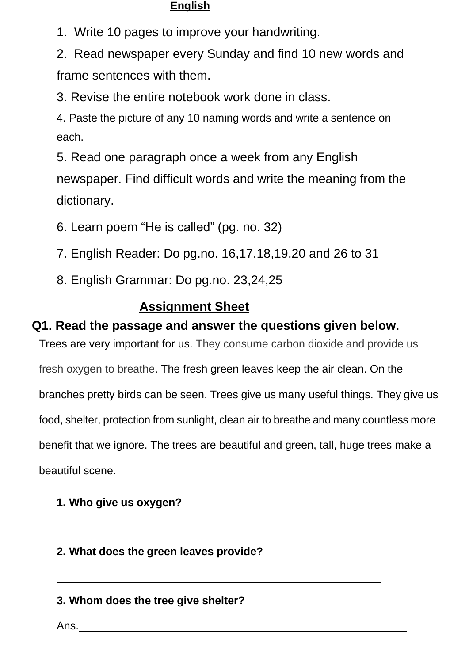#### **English**

1. Write 10 pages to improve your handwriting.

2. Read newspaper every Sunday and find 10 new words and frame sentences with them.

3. Revise the entire notebook work done in class.

4. Paste the picture of any 10 naming words and write a sentence on each.

5. Read one paragraph once a week from any English newspaper. Find difficult words and write the meaning from the dictionary.

6. Learn poem "He is called" (pg. no. 32)

7. English Reader: Do pg.no. 16,17,18,19,20 and 26 to 31

8. English Grammar: Do pg.no. 23,24,25

## **Assignment Sheet**

#### **Q1. Read the passage and answer the questions given below.**

Trees are very important for us. They consume carbon dioxide and provide us fresh oxygen to breathe. The fresh green leaves keep the air clean. On the branches pretty birds can be seen. Trees give us many useful things. They give us food, shelter, protection from sunlight, clean air to breathe and many countless more benefit that we ignore. The trees are beautiful and green, tall, huge trees make a beautiful scene.

**1. Who give us oxygen?**

**2. What does the green leaves provide?**

#### **3. Whom does the tree give shelter?**

Ans.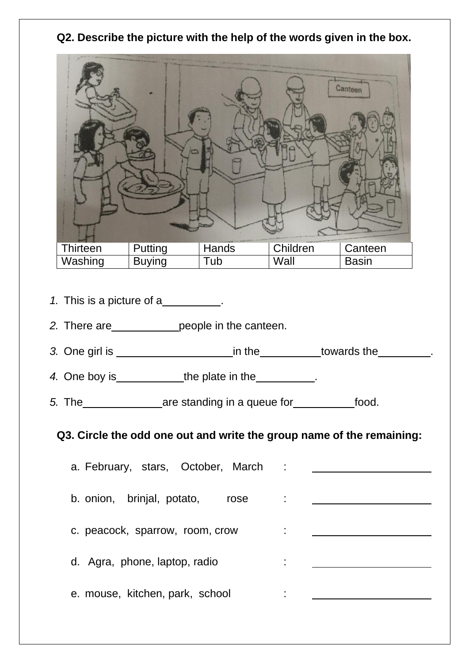#### **Q2. Describe the picture with the help of the words given in the box.**



- *1.* This is a picture of a\_\_\_\_\_\_\_\_\_\_.
- 2. There are people in the canteen.
- *3.* One girl is in the towards the .

*4.* One boy is\_\_\_\_\_\_\_\_\_\_\_\_\_\_the plate in the \_\_\_\_\_\_\_\_\_\_\_.

*5.* The **are standing in a queue for food.** 

## **Q3. Circle the odd one out and write the group name of the remaining:**

| a. February, stars, October, March |              |
|------------------------------------|--------------|
| b. onion, brinjal, potato, rose    | ÷.           |
| c. peacock, sparrow, room, crow    |              |
| d. Agra, phone, laptop, radio      | $\mathbf{r}$ |
| e. mouse, kitchen, park, school    | ٠            |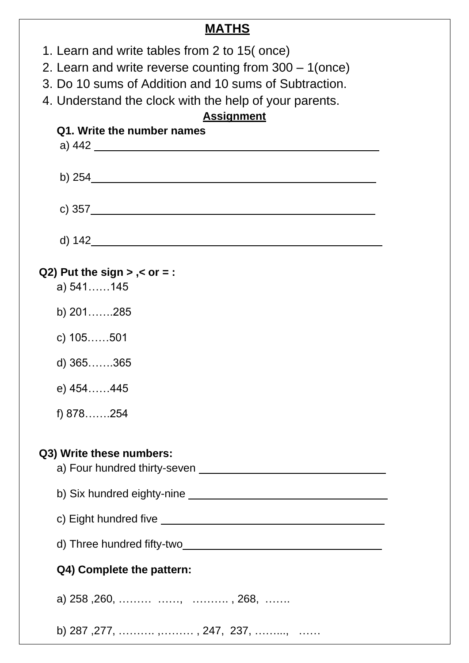**MATHS** 1. Learn and write tables from 2 to 15( once) 2. Learn and write reverse counting from 300 – 1(once) 3. Do 10 sums of Addition and 10 sums of Subtraction. 4. Understand the clock with the help of your parents. **Assignment Q1. Write the number names** a) 442 b) 254 c) 357 d) 142 **Q2) Put the sign > ,< or = :** a) 541……145 b) 201…….285 c) 105……501 d) 365…….365 e) 454……445 f) 878…….254 **Q3) Write these numbers:** a) Four hundred thirty-seven **contains the manuform of the set of the set of the set of the set of the set of the set of the set of the set of the set of the set of the set of the set of the set of the set of the set of th** b) Six hundred eighty-nine **Example 2018** Six hundred eighty-nine c) Eight hundred five d) Three hundred fifty-two **Q4) Complete the pattern:**

a) 258 ,260, ……… ……, ………. , 268, …….

b) 287 ,277, ………. ,……… , 247, 237, ……..., ……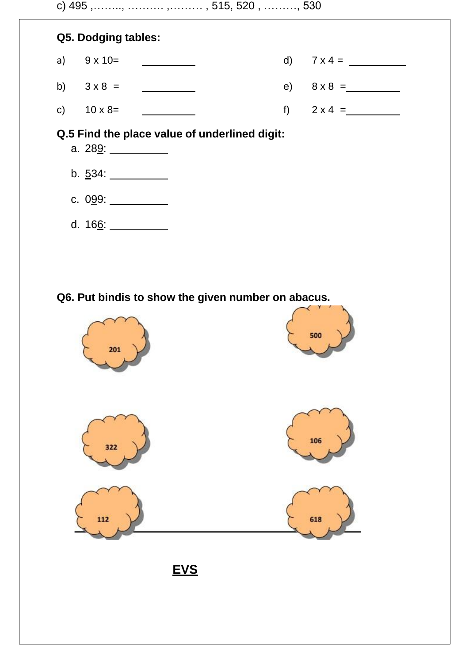



#### **Q.5 Find the place value of underlined digit:**

a. 289: b.  $534:$ c. 099: d. 166:

## **Q6. Put bindis to show the given number on abacus.**



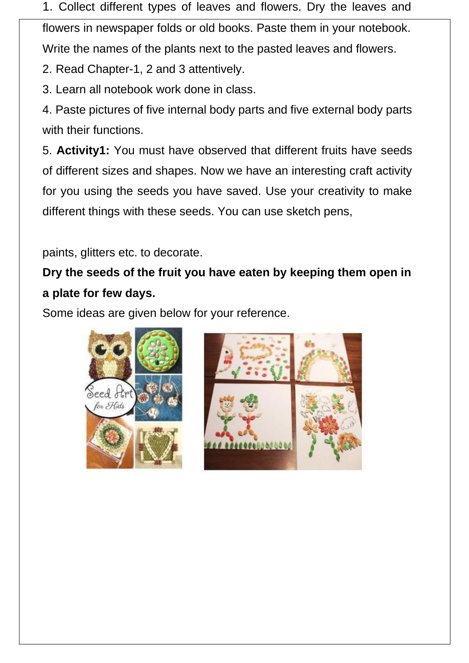1. Collect different types of leaves and flowers. Dry the leaves and

flowers in newspaper folds or old books. Paste them in your notebook. Write the names of the plants next to the pasted leaves and flowers.

2. Read Chapter-1, 2 and 3 attentively.

3. Learn all notebook work done in class.

4. Paste pictures of five internal body parts and five external body parts with their functions.

5. **Activity1:** You must have observed that different fruits have seeds of different sizes and shapes. Now we have an interesting craft activity for you using the seeds you have saved. Use your creativity to make different things with these seeds. You can use sketch pens,

paints, glitters etc. to decorate.

# **Dry the seeds of the fruit you have eaten by keeping them open in a plate for few days.**

Some ideas are given below for your reference.



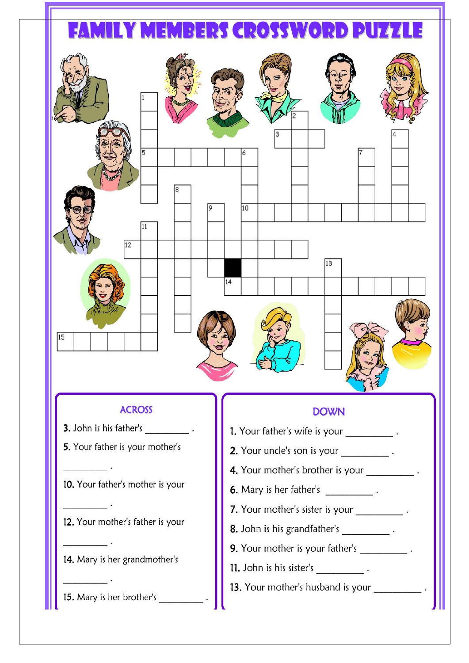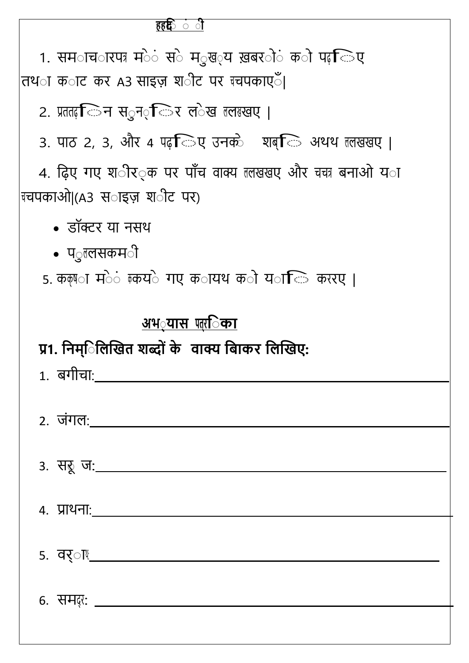## **हहदि**

1. समाचा रपत्र मे**ं स**े म*ुख*्य ख़बरों को पढ़ जिए तथ**ा क**ाट कर A3 साइज़ श**ीट पर ग्वपकाए**ँ।

2. प्रततढ़ जिन सुन<sub>्र</sub>िर ल*ेख बलबखए* |

3. पाठ 2, 3, और 4 पढ़ िए उनके शब्ि अथथ तलखखए |

4. ढ़िए गए श**ीर**्क पर पाँच वाक्य ललखखए और चचत्र बनाओ य**ा** चचपकाओ|(A3 स**ाइज़ श**ीट पर)

- डॉक्टर य नसथ
- प*ु*ललसकम**ी**

5. कक्षण मे**ं क़्य**े गए क**ायथ क**ो य**ा** ि कररए ।

# <u>अभ**्यास** पत्**िका**</u>

# **प्र1. ििम ि ििखित शब्द के वाक्य ि ाकर ििखिए:**

| <u>1. बगीचा:__</u>      |
|-------------------------|
| 2. जंगल:                |
| 3. सरू ज <u>: _</u> ___ |
| <u>4. प्राथनाः   </u>   |
| <u>5. वर्ाै ___</u>     |

6. समद*र*: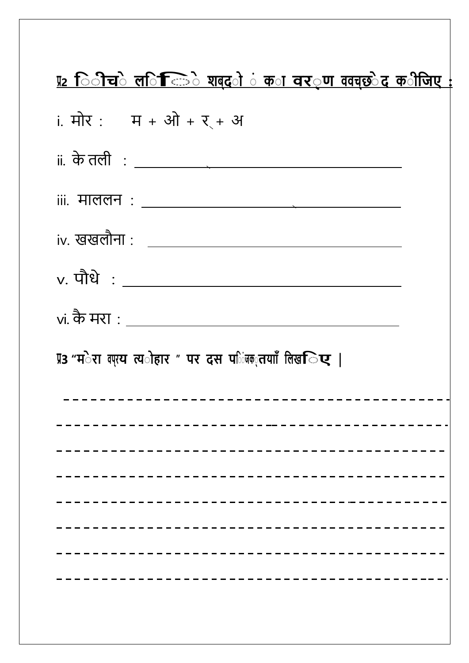| <u>प्र2 िीचे ल<b>िनिक्कि</b>े शब्द<b>ो</b>ं क<b>ा वर</b>्ण ववच्छेद क<b>ीजिए</b> :</u> |  |  |  |  |
|---------------------------------------------------------------------------------------|--|--|--|--|
| i. मोर: म + ओ + र + अ                                                                 |  |  |  |  |
| ii. के तली $\; : \; \underline{\hspace{1.5cm}}$                                       |  |  |  |  |
| iii. माललन $\; : \; \underline{\hspace{1.5cm}}$                                       |  |  |  |  |
|                                                                                       |  |  |  |  |
| $v.$ पौधे : $\_\_$                                                                    |  |  |  |  |
| vi. कै मरा : _________________                                                        |  |  |  |  |
| प्र3 "म <b>ेरा बएय त्य</b> ोहार " पर दस प <b>िजक</b> ्तयााँ लिख <b>िए  </b>           |  |  |  |  |
|                                                                                       |  |  |  |  |
|                                                                                       |  |  |  |  |
|                                                                                       |  |  |  |  |
|                                                                                       |  |  |  |  |
|                                                                                       |  |  |  |  |
|                                                                                       |  |  |  |  |
|                                                                                       |  |  |  |  |
|                                                                                       |  |  |  |  |
|                                                                                       |  |  |  |  |
|                                                                                       |  |  |  |  |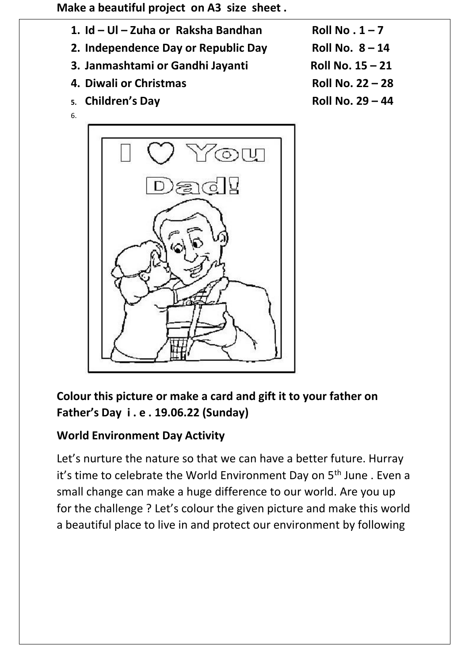**Make a beautiful project on A3 size sheet .**

- **1.**  $Id Ul Zuha$  or Raksha Bandhan **Roll No . 1** 7
- **2. Independence Day or Republic Day Roll No. 8 – 14**
- **3. Janmashtami or Gandhi Jayanti Roll No. 15 – 21**
- **4. Diwali or Christmas Roll No. 22 – 28**
- **5. Children's Day Roll No. 29 – 44**
- 6.



- 
- 

**Colour this picture or make a card and gift it to your father on Father's Day i . e . 19.06.22 (Sunday)**

## **World Environment Day Activity**

Let's nurture the nature so that we can have a better future. Hurray it's time to celebrate the World Environment Day on 5<sup>th</sup> June . Even a small change can make a huge difference to our world. Are you up for the challenge ? Let's colour the given picture and make this world a beautiful place to live in and protect our environment by following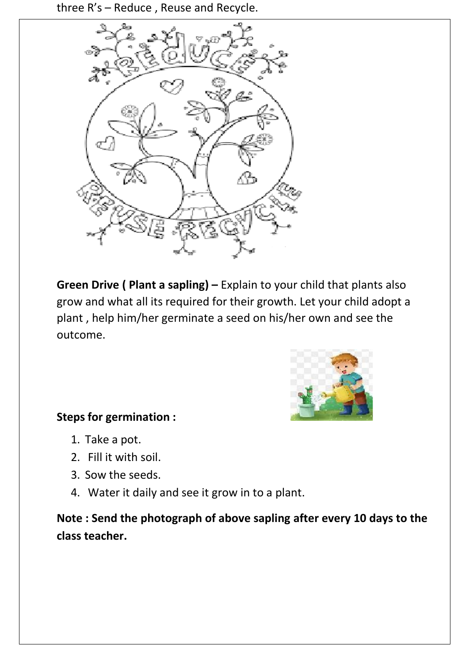three R's – Reduce , Reuse and Recycle.



**Green Drive ( Plant a sapling) –** Explain to your child that plants also grow and what all its required for their growth. Let your child adopt a plant , help him/her germinate a seed on his/her own and see the outcome.



## **Steps for germination :**

- 1. Take a pot.
- 2. Fill it with soil.
- 3. Sow the seeds.
- 4. Water it daily and see it grow in to a plant.

**Note : Send the photograph of above sapling after every 10 days to the class teacher.**